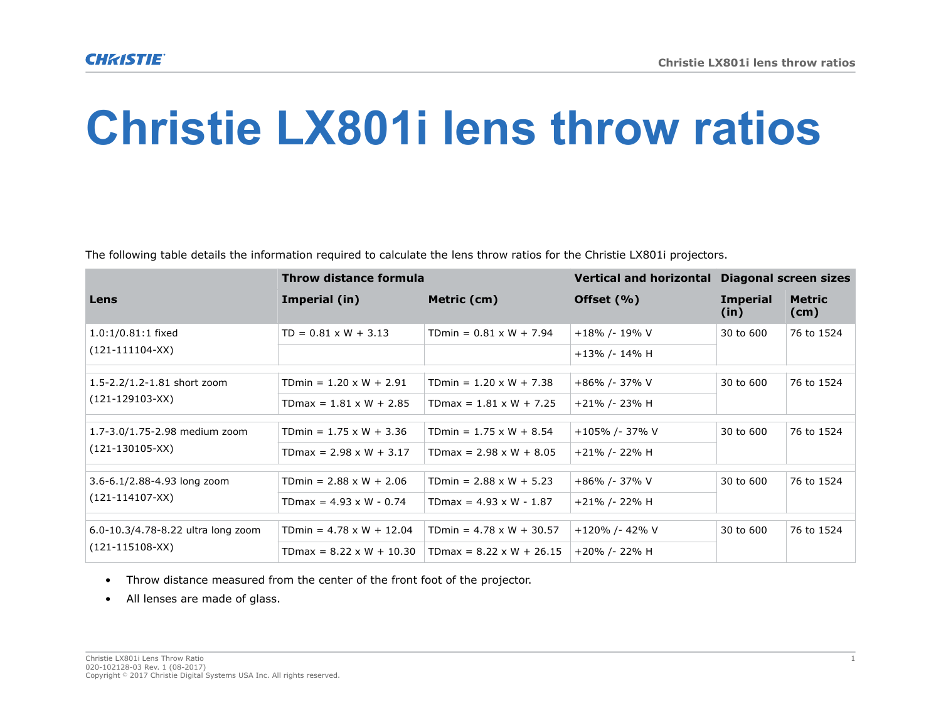## **Christie LX801i lens throw ratios**

The following table details the information required to calculate the lens throw ratios for the Christie LX801i projectors.

|                                                             | <b>Throw distance formula</b>   |                                 | <b>Vertical and horizontal</b> | <b>Diagonal screen sizes</b> |                       |
|-------------------------------------------------------------|---------------------------------|---------------------------------|--------------------------------|------------------------------|-----------------------|
| Lens                                                        | Imperial (in)                   | Metric (cm)                     | Offset $(% )$                  | <b>Imperial</b><br>(in)      | <b>Metric</b><br>(cm) |
| $1.0:1/0.81:1$ fixed<br>$(121-111104-XX)$                   | $TD = 0.81 \times W + 3.13$     | TDmin = $0.81 \times W + 7.94$  | +18% /-19% V                   | 30 to 600                    | 76 to 1524            |
|                                                             |                                 |                                 | +13% /-14% H                   |                              |                       |
| 1.5-2.2/1.2-1.81 short zoom<br>$(121-129103-XX)$            | TDmin = $1.20 \times W + 2.91$  | TDmin = $1.20 \times W + 7.38$  | +86% /- 37% V                  | 30 to 600                    | 76 to 1524            |
|                                                             | TDmax = $1.81 \times W + 2.85$  | TDmax = $1.81 \times W + 7.25$  | +21% /- 23% H                  |                              |                       |
| 1.7-3.0/1.75-2.98 medium zoom<br>$(121-130105-XX)$          | TDmin = $1.75 \times W + 3.36$  | TDmin = $1.75 \times W + 8.54$  | +105% /- 37% V                 | 30 to 600                    | 76 to 1524            |
|                                                             | TDmax = $2.98 \times W + 3.17$  | TDmax = $2.98 \times W + 8.05$  | +21% /- 22% H                  |                              |                       |
| 3.6-6.1/2.88-4.93 long zoom<br>$(121-114107-XX)$            | TDmin = $2.88 \times W + 2.06$  | TDmin = $2.88 \times W + 5.23$  | +86% /- 37% V                  | 30 to 600                    | 76 to 1524            |
|                                                             | TDmax = $4.93 \times W - 0.74$  | TDmax = $4.93 \times W - 1.87$  | +21% /- 22% H                  |                              |                       |
| 6.0-10.3/4.78-8.22 ultra long zoom<br>$(121 - 115108 - XX)$ | TDmin = $4.78 \times W + 12.04$ | TDmin = $4.78 \times W + 30.57$ | +120% /- 42% V                 | 30 to 600                    | 76 to 1524            |
|                                                             | TDmax = $8.22 \times W + 10.30$ | TDmax = $8.22 \times W + 26.15$ | +20% /- 22% H                  |                              |                       |

- Throw distance measured from the center of the front foot of the projector.
- All lenses are made of glass.